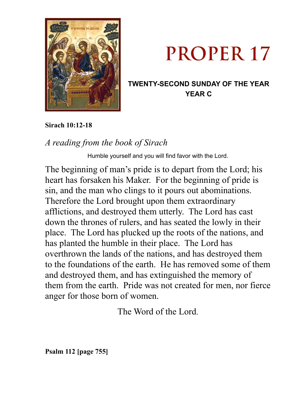



## **TWENTY-SECOND SUNDAY OF THE YEAR YEAR C**

**Sirach 10:12-18** 

# *A reading from the book of Sirach*

Humble yourself and you will find favor with the Lord.

The beginning of man's pride is to depart from the Lord; his heart has forsaken his Maker. For the beginning of pride is sin, and the man who clings to it pours out abominations. Therefore the Lord brought upon them extraordinary afflictions, and destroyed them utterly. The Lord has cast down the thrones of rulers, and has seated the lowly in their place. The Lord has plucked up the roots of the nations, and has planted the humble in their place. The Lord has overthrown the lands of the nations, and has destroyed them to the foundations of the earth. He has removed some of them and destroyed them, and has extinguished the memory of them from the earth. Pride was not created for men, nor fierce anger for those born of women.

The Word of the Lord.

**Psalm 112 [page 755]**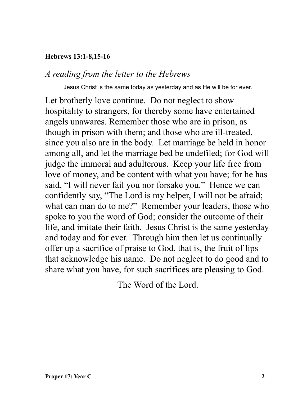#### **Hebrews 13:1-8,15-16**

### *A reading from the letter to the Hebrews*

Jesus Christ is the same today as yesterday and as He will be for ever.

Let brotherly love continue. Do not neglect to show hospitality to strangers, for thereby some have entertained angels unawares. Remember those who are in prison, as though in prison with them; and those who are ill-treated, since you also are in the body. Let marriage be held in honor among all, and let the marriage bed be undefiled; for God will judge the immoral and adulterous. Keep your life free from love of money, and be content with what you have; for he has said, "I will never fail you nor forsake you." Hence we can confidently say, "The Lord is my helper, I will not be afraid; what can man do to me?" Remember your leaders, those who spoke to you the word of God; consider the outcome of their life, and imitate their faith. Jesus Christ is the same yesterday and today and for ever. Through him then let us continually offer up a sacrifice of praise to God, that is, the fruit of lips that acknowledge his name. Do not neglect to do good and to share what you have, for such sacrifices are pleasing to God.

The Word of the Lord.